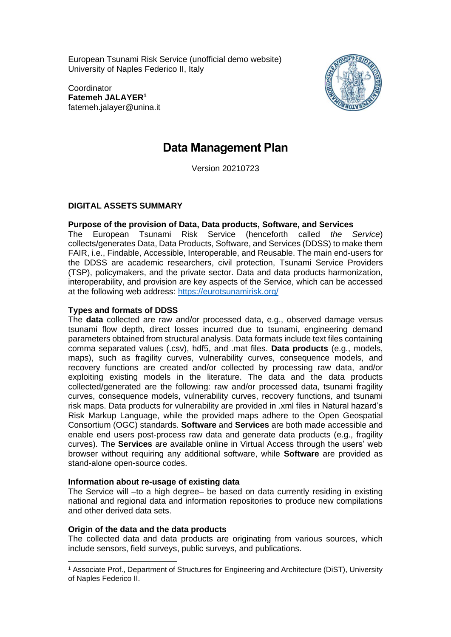European Tsunami Risk Service (unofficial demo website) University of Naples Federico II, Italy

**Coordinator Fatemeh JALAYER<sup>1</sup>** fatemeh.jalayer@unina.it



# **Data Management Plan**

Version 20210723

### **DIGITAL ASSETS SUMMARY**

### **Purpose of the provision of Data, Data products, Software, and Services**

The European Tsunami Risk Service (henceforth called *the Service*) collects/generates Data, Data Products, Software, and Services (DDSS) to make them FAIR, i.e., Findable, Accessible, Interoperable, and Reusable. The main end-users for the DDSS are academic researchers, civil protection, Tsunami Service Providers (TSP), policymakers, and the private sector. Data and data products harmonization, interoperability, and provision are key aspects of the Service, which can be accessed at the following web address:<https://eurotsunamirisk.org/>

### **Types and formats of DDSS**

The **data** collected are raw and/or processed data, e.g., observed damage versus tsunami flow depth, direct losses incurred due to tsunami, engineering demand parameters obtained from structural analysis. Data formats include text files containing comma separated values (.csv), hdf5, and .mat files. **Data products** (e.g., models, maps), such as fragility curves, vulnerability curves, consequence models, and recovery functions are created and/or collected by processing raw data, and/or exploiting existing models in the literature. The data and the data products collected/generated are the following: raw and/or processed data, tsunami fragility curves, consequence models, vulnerability curves, recovery functions, and tsunami risk maps. Data products for vulnerability are provided in .xml files in Natural hazard's Risk Markup Language, while the provided maps adhere to the Open Geospatial Consortium (OGC) standards. **Software** and **Services** are both made accessible and enable end users post-process raw data and generate data products (e.g., fragility curves). The **Services** are available online in Virtual Access through the users' web browser without requiring any additional software, while **Software** are provided as stand-alone open-source codes.

### **Information about re-usage of existing data**

The Service will –to a high degree– be based on data currently residing in existing national and regional data and information repositories to produce new compilations and other derived data sets.

### **Origin of the data and the data products**

The collected data and data products are originating from various sources, which include sensors, field surveys, public surveys, and publications.

<sup>1</sup> Associate Prof., Department of Structures for Engineering and Architecture (DiST), University of Naples Federico II.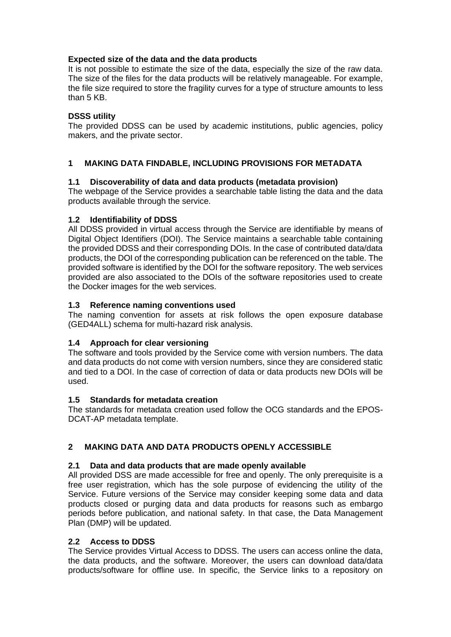### **Expected size of the data and the data products**

It is not possible to estimate the size of the data, especially the size of the raw data. The size of the files for the data products will be relatively manageable. For example, the file size required to store the fragility curves for a type of structure amounts to less than 5 KB.

### **DSSS utility**

The provided DDSS can be used by academic institutions, public agencies, policy makers, and the private sector.

### **1 MAKING DATA FINDABLE, INCLUDING PROVISIONS FOR METADATA**

### **1.1 Discoverability of data and data products (metadata provision)**

The webpage of the Service provides a searchable table listing the data and the data products available through the service.

### **1.2 Identifiability of DDSS**

All DDSS provided in virtual access through the Service are identifiable by means of Digital Object Identifiers (DOI). The Service maintains a searchable table containing the provided DDSS and their corresponding DOIs. In the case of contributed data/data products, the DOI of the corresponding publication can be referenced on the table. The provided software is identified by the DOI for the software repository. The web services provided are also associated to the DOIs of the software repositories used to create the Docker images for the web services.

### **1.3 Reference naming conventions used**

The naming convention for assets at risk follows the open exposure database (GED4ALL) schema for multi-hazard risk analysis.

### **1.4 Approach for clear versioning**

The software and tools provided by the Service come with version numbers. The data and data products do not come with version numbers, since they are considered static and tied to a DOI. In the case of correction of data or data products new DOIs will be used.

### **1.5 Standards for metadata creation**

The standards for metadata creation used follow the OCG standards and the EPOS-DCAT-AP metadata template.

# **2 MAKING DATA AND DATA PRODUCTS OPENLY ACCESSIBLE**

### **2.1 Data and data products that are made openly available**

All provided DSS are made accessible for free and openly. The only prerequisite is a free user registration, which has the sole purpose of evidencing the utility of the Service. Future versions of the Service may consider keeping some data and data products closed or purging data and data products for reasons such as embargo periods before publication, and national safety. In that case, the Data Management Plan (DMP) will be updated.

### **2.2 Access to DDSS**

The Service provides Virtual Access to DDSS. The users can access online the data, the data products, and the software. Moreover, the users can download data/data products/software for offline use. In specific, the Service links to a repository on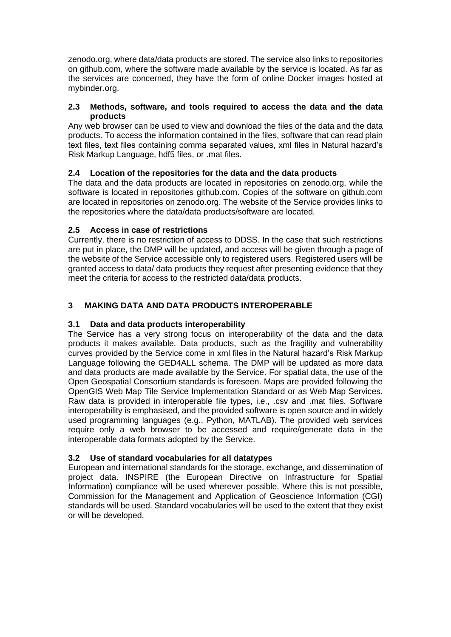zenodo.org, where data/data products are stored. The service also links to repositories on github.com, where the software made available by the service is located. As far as the services are concerned, they have the form of online Docker images hosted at mybinder.org.

### **2.3 Methods, software, and tools required to access the data and the data products**

Any web browser can be used to view and download the files of the data and the data products. To access the information contained in the files, software that can read plain text files, text files containing comma separated values, xml files in Natural hazard's Risk Markup Language, hdf5 files, or .mat files.

# **2.4 Location of the repositories for the data and the data products**

The data and the data products are located in repositories on zenodo.org, while the software is located in repositories github.com. Copies of the software on github.com are located in repositories on zenodo.org. The website of the Service provides links to the repositories where the data/data products/software are located.

# **2.5 Access in case of restrictions**

Currently, there is no restriction of access to DDSS. In the case that such restrictions are put in place, the DMP will be updated, and access will be given through a page of the website of the Service accessible only to registered users. Registered users will be granted access to data/ data products they request after presenting evidence that they meet the criteria for access to the restricted data/data products.

# **3 MAKING DATA AND DATA PRODUCTS INTEROPERABLE**

# **3.1 Data and data products interoperability**

The Service has a very strong focus on interoperability of the data and the data products it makes available. Data products, such as the fragility and vulnerability curves provided by the Service come in xml files in the Natural hazard's Risk Markup Language following the GED4ALL schema. The DMP will be updated as more data and data products are made available by the Service. For spatial data, the use of the Open Geospatial Consortium standards is foreseen. Maps are provided following the [OpenGIS Web Map Tile Service Implementation Standard](https://www.ogc.org/standards/wmts) or as [Web Map Services.](https://www.ogc.org/standards/wms) Raw data is provided in interoperable file types, i.e., .csv and .mat files. Software interoperability is emphasised, and the provided software is open source and in widely used programming languages (e.g., Python, MATLAB). The provided web services require only a web browser to be accessed and require/generate data in the interoperable data formats adopted by the Service.

# **3.2 Use of standard vocabularies for all datatypes**

European and international standards for the storage, exchange, and dissemination of project data. INSPIRE (the European Directive on Infrastructure for Spatial Information) compliance will be used wherever possible. Where this is not possible, Commission for the Management and Application of Geoscience Information (CGI) standards will be used. Standard vocabularies will be used to the extent that they exist or will be developed.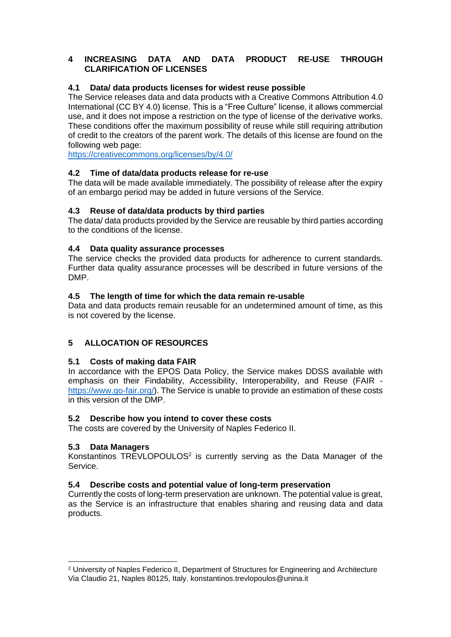### **4 INCREASING DATA AND DATA PRODUCT RE-USE THROUGH CLARIFICATION OF LICENSES**

### **4.1 Data/ data products licenses for widest reuse possible**

The Service releases data and data products with a Creative Commons Attribution 4.0 International (CC BY 4.0) license. This is a "Free Culture" license, it allows commercial use, and it does not impose a restriction on the type of license of the derivative works. These conditions offer the maximum possibility of reuse while still requiring attribution of credit to the creators of the parent work. The details of this license are found on the following web page:

<https://creativecommons.org/licenses/by/4.0/>

### **4.2 Time of data/data products release for re-use**

The data will be made available immediately. The possibility of release after the expiry of an embargo period may be added in future versions of the Service.

#### **4.3 Reuse of data/data products by third parties**

The data/ data products provided by the Service are reusable by third parties according to the conditions of the license.

### **4.4 Data quality assurance processes**

The service checks the provided data products for adherence to current standards. Further data quality assurance processes will be described in future versions of the DMP.

#### **4.5 The length of time for which the data remain re-usable**

Data and data products remain reusable for an undetermined amount of time, as this is not covered by the license.

### **5 ALLOCATION OF RESOURCES**

### **5.1 Costs of making data FAIR**

In accordance with the EPOS Data Policy, the Service makes DDSS available with emphasis on their Findability, Accessibility, Interoperability, and Reuse (FAIR [https://www.go-fair.org/\)](https://www.go-fair.org/). The Service is unable to provide an estimation of these costs in this version of the DMP.

#### **5.2 Describe how you intend to cover these costs**

The costs are covered by the University of Naples Federico II.

### **5.3 Data Managers**

Konstantinos  $TREVLOPOULOS<sup>2</sup>$  is currently serving as the Data Manager of the Service.

#### **5.4 Describe costs and potential value of long-term preservation**

Currently the costs of long-term preservation are unknown. The potential value is great, as the Service is an infrastructure that enables sharing and reusing data and data products.

<sup>2</sup> University of Naples Federico II, Department of Structures for Engineering and Architecture Via Claudio 21, Naples 80125, Italy. konstantinos.trevlopoulos@unina.it